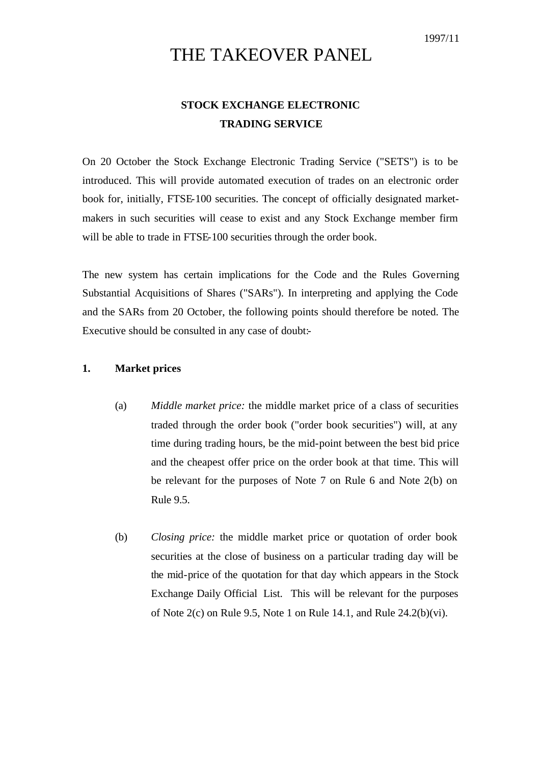# THE TAKEOVER PANEL

# **STOCK EXCHANGE ELECTRONIC TRADING SERVICE**

On 20 October the Stock Exchange Electronic Trading Service ("SETS") is to be introduced. This will provide automated execution of trades on an electronic order book for, initially, FTSE-100 securities. The concept of officially designated marketmakers in such securities will cease to exist and any Stock Exchange member firm will be able to trade in FTSE-100 securities through the order book.

The new system has certain implications for the Code and the Rules Governing Substantial Acquisitions of Shares ("SARs"). In interpreting and applying the Code and the SARs from 20 October, the following points should therefore be noted. The Executive should be consulted in any case of doubt:-

## **1. Market prices**

- (a) *Middle market price:* the middle market price of a class of securities traded through the order book ("order book securities") will, at any time during trading hours, be the mid-point between the best bid price and the cheapest offer price on the order book at that time. This will be relevant for the purposes of Note 7 on Rule 6 and Note 2(b) on Rule 9.5.
- (b) *Closing price:* the middle market price or quotation of order book securities at the close of business on a particular trading day will be the mid-price of the quotation for that day which appears in the Stock Exchange Daily Official List. This will be relevant for the purposes of Note  $2(c)$  on Rule 9.5, Note 1 on Rule 14.1, and Rule  $24.2(b)(vi)$ .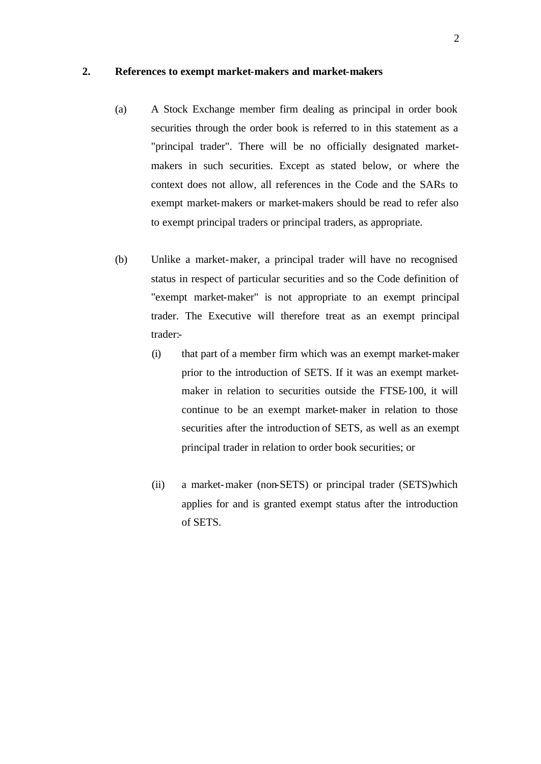#### **2. References to exempt market-makers and market-makers**

- (a) A Stock Exchange member firm dealing as principal in order book securities through the order book is referred to in this statement as a "principal trader". There will be no officially designated marketmakers in such securities. Except as stated below, or where the context does not allow, all references in the Code and the SARs to exempt market-makers or market-makers should be read to refer also to exempt principal traders or principal traders, as appropriate.
- (b) Unlike a market-maker, a principal trader will have no recognised status in respect of particular securities and so the Code definition of "exempt market-maker" is not appropriate to an exempt principal trader. The Executive will therefore treat as an exempt principal trader:-
	- (i) that part of a member firm which was an exempt market-maker prior to the introduction of SETS. If it was an exempt marketmaker in relation to securities outside the FTSE-100, it will continue to be an exempt market-maker in relation to those securities after the introduction of SETS, as well as an exempt principal trader in relation to order book securities; or
	- (ii) a market-maker (non-SETS) or principal trader (SETS)which applies for and is granted exempt status after the introduction of SETS.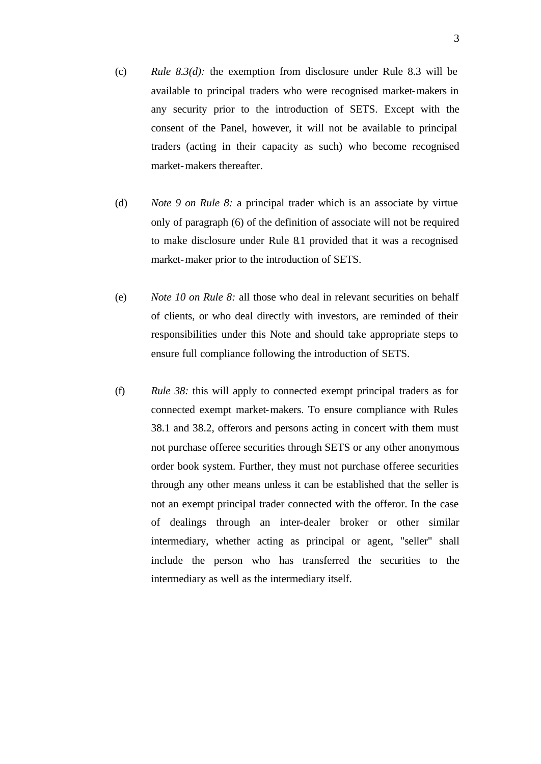- (c) *Rule 8.3(d):* the exemption from disclosure under Rule 8.3 will be available to principal traders who were recognised market-makers in any security prior to the introduction of SETS. Except with the consent of the Panel, however, it will not be available to principal traders (acting in their capacity as such) who become recognised market-makers thereafter.
- (d) *Note 9 on Rule 8:* a principal trader which is an associate by virtue only of paragraph (6) of the definition of associate will not be required to make disclosure under Rule 8.1 provided that it was a recognised market-maker prior to the introduction of SETS.
- (e) *Note 10 on Rule 8:* all those who deal in relevant securities on behalf of clients, or who deal directly with investors, are reminded of their responsibilities under this Note and should take appropriate steps to ensure full compliance following the introduction of SETS.
- (f) *Rule 38:* this will apply to connected exempt principal traders as for connected exempt market-makers. To ensure compliance with Rules 38.1 and 38.2, offerors and persons acting in concert with them must not purchase offeree securities through SETS or any other anonymous order book system. Further, they must not purchase offeree securities through any other means unless it can be established that the seller is not an exempt principal trader connected with the offeror. In the case of dealings through an inter-dealer broker or other similar intermediary, whether acting as principal or agent, "seller" shall include the person who has transferred the securities to the intermediary as well as the intermediary itself.